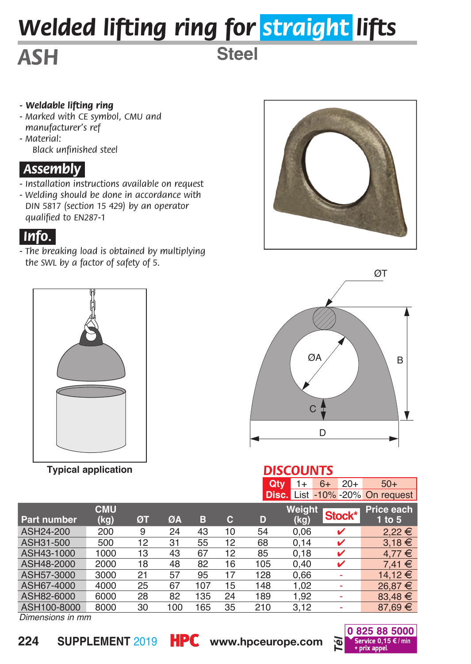# *Welded lifting ring for straight lifts*

**Steel**

# *ASH*

#### *- Weldable lifting ring*

- *Marked with CE symbol, CMU and manufacturer's ref*
- *Material: Black unfinished steel*

#### *.Assembly.*

- *Installation instructions available on request*
- *Welding should be done in accordance with DIN 5817 (section 15 429) by an operator qualified to EN287-1*

### *.Info..*

*- The breaking load is obtained by multiplying the SWL by a factor of safety of 5.*



**Typical application**





#### *DISCOUNTS*

| <b>Qty</b> $1+ 6+ 20+$ |  | $-50+$                          |  |  |
|------------------------|--|---------------------------------|--|--|
|                        |  | Disc. List -10% -20% On request |  |  |

| <b>Part number</b> | <b>CMU</b><br>(kg) | ØΤ | ØA  | в   | с  | D   | <b>Weight</b><br>(kg) | Stock* | <b>Price each</b><br>$1$ to $5$ |
|--------------------|--------------------|----|-----|-----|----|-----|-----------------------|--------|---------------------------------|
| ASH24-200          | 200                | 9  | 24  | 43  | 10 | 54  | 0.06                  | v      | $2,22 \in$                      |
| ASH31-500          | 500                | 12 | 31  | 55  | 12 | 68  | 0.14                  | ✓      | $3.18 \in$                      |
| ASH43-1000         | 1000               | 13 | 43  | 67  | 12 | 85  | 0.18                  | v      | $4.77 \in$                      |
| ASH48-2000         | 2000               | 18 | 48  | 82  | 16 | 105 | 0.40                  | v      | $7.41 \in$                      |
| ASH57-3000         | 3000               | 21 | 57  | 95  | 17 | 128 | 0.66                  |        | 14.12 €                         |
| ASH67-4000         | 4000               | 25 | 67  | 107 | 15 | 148 | 1.02                  |        | $26.87 \in$                     |
| ASH82-6000         | 6000               | 28 | 82  | 135 | 24 | 189 | 1.92                  |        | $83.48 \in$                     |
| ASH100-8000        | 8000               | 30 | 100 | 165 | 35 | 210 | 3.12                  |        | $87.69 \in$                     |

*Dimensions in mm*